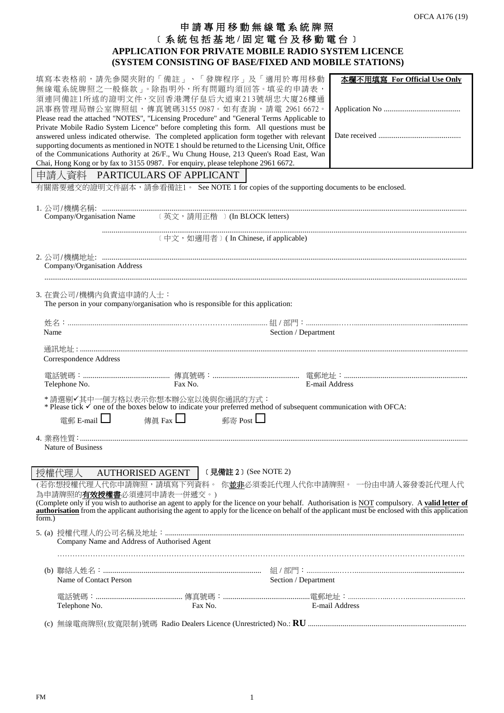# 申 請 專 用 移動無線電系統牌照 ﹝系統包括 基 地 **/** 固定電台及移動電台﹞ **APPLICATION FOR PRIVATE MOBILE RADIO SYSTEM LICENCE (SYSTEM CONSISTING OF BASE/FIXED AND MOBILE STATIONS)**

|                                   |                                                     | 填寫本表格前,請先參閱夾附的「備註」、「發牌程序」及「適用於專用移動<br>無線電系統牌照之一般條款」。除指明外,所有問題均須回答。填妥的申請表,<br>須連同備註1所述的證明文件, 交回香港灣仔皇后大道東213號胡忠大廈26樓通<br>訊事務管理局辦公室牌照組,傳真號碼3155 0987。如有查詢,請電 2961 6672。<br>Please read the attached "NOTES", "Licensing Procedure" and "General Terms Applicable to<br>Private Mobile Radio System Licence" before completing this form. All questions must be<br>answered unless indicated otherwise. The completed application form together with relevant<br>supporting documents as mentioned in NOTE 1 should be returned to the Licensing Unit, Office<br>of the Communications Authority at 26/F., Wu Chung House, 213 Queen's Road East, Wan |                      | 本欄不用填寫 For Official Use Only                                                                                                                                                                                                   |
|-----------------------------------|-----------------------------------------------------|---------------------------------------------------------------------------------------------------------------------------------------------------------------------------------------------------------------------------------------------------------------------------------------------------------------------------------------------------------------------------------------------------------------------------------------------------------------------------------------------------------------------------------------------------------------------------------------------------------------------------------------------------|----------------------|--------------------------------------------------------------------------------------------------------------------------------------------------------------------------------------------------------------------------------|
|                                   |                                                     | Chai, Hong Kong or by fax to 3155 0987. For enquiry, please telephone 2961 6672.                                                                                                                                                                                                                                                                                                                                                                                                                                                                                                                                                                  |                      |                                                                                                                                                                                                                                |
|                                   |                                                     | 申請人資料 PARTICULARS OF APPLICANT                                                                                                                                                                                                                                                                                                                                                                                                                                                                                                                                                                                                                    |                      |                                                                                                                                                                                                                                |
|                                   |                                                     | 有關需要遞交的證明文件副本,請參看備註1。 See NOTE 1 for copies of the supporting documents to be enclosed.                                                                                                                                                                                                                                                                                                                                                                                                                                                                                                                                                           |                      |                                                                                                                                                                                                                                |
|                                   |                                                     |                                                                                                                                                                                                                                                                                                                                                                                                                                                                                                                                                                                                                                                   |                      |                                                                                                                                                                                                                                |
|                                   |                                                     | 〔中文, 如適用者〕 (In Chinese, if applicable)                                                                                                                                                                                                                                                                                                                                                                                                                                                                                                                                                                                                            |                      |                                                                                                                                                                                                                                |
|                                   |                                                     |                                                                                                                                                                                                                                                                                                                                                                                                                                                                                                                                                                                                                                                   |                      |                                                                                                                                                                                                                                |
|                                   | Company/Organisation Address                        |                                                                                                                                                                                                                                                                                                                                                                                                                                                                                                                                                                                                                                                   |                      |                                                                                                                                                                                                                                |
|                                   |                                                     |                                                                                                                                                                                                                                                                                                                                                                                                                                                                                                                                                                                                                                                   |                      |                                                                                                                                                                                                                                |
|                                   | 3. 在貴公司/機構內負責這申請的人士:                                | The person in your company/organisation who is responsible for this application:                                                                                                                                                                                                                                                                                                                                                                                                                                                                                                                                                                  |                      |                                                                                                                                                                                                                                |
|                                   |                                                     |                                                                                                                                                                                                                                                                                                                                                                                                                                                                                                                                                                                                                                                   |                      |                                                                                                                                                                                                                                |
| Name                              |                                                     |                                                                                                                                                                                                                                                                                                                                                                                                                                                                                                                                                                                                                                                   | Section / Department |                                                                                                                                                                                                                                |
|                                   | Correspondence Address                              |                                                                                                                                                                                                                                                                                                                                                                                                                                                                                                                                                                                                                                                   |                      |                                                                                                                                                                                                                                |
|                                   | Telephone No.                                       | Fax No.                                                                                                                                                                                                                                                                                                                                                                                                                                                                                                                                                                                                                                           | E-mail Address       |                                                                                                                                                                                                                                |
|                                   |                                                     | * 請選剔✔其中一個方格以表示你想本辦公室以後與你通訊的方式:<br>* Please tick ✔ one of the boxes below to indicate your preferred method of subsequent communication with OFCA:                                                                                                                                                                                                                                                                                                                                                                                                                                                                                                |                      |                                                                                                                                                                                                                                |
|                                   | 電郵 E-mail                                           | 郵寄 Post $\Box$<br>傳眞 Fax $\Box$                                                                                                                                                                                                                                                                                                                                                                                                                                                                                                                                                                                                                   |                      |                                                                                                                                                                                                                                |
|                                   | Nature of Business                                  |                                                                                                                                                                                                                                                                                                                                                                                                                                                                                                                                                                                                                                                   |                      |                                                                                                                                                                                                                                |
|                                   |                                                     |                                                                                                                                                                                                                                                                                                                                                                                                                                                                                                                                                                                                                                                   |                      |                                                                                                                                                                                                                                |
| 授權代理人                             | <b>AUTHORISED AGENT</b><br>(若你想授權代理人代你申請牌照,請填寫下列資料。 | $($ 見備註 2 $)$ (See NOTE 2)                                                                                                                                                                                                                                                                                                                                                                                                                                                                                                                                                                                                                        |                      | 你並非必須委託代理人代你申請牌照。 一份由申請人簽發委託代理人代                                                                                                                                                                                               |
| 為申請牌照的 <b>有效授權書</b> 必須連同申請表一併遞交。) |                                                     |                                                                                                                                                                                                                                                                                                                                                                                                                                                                                                                                                                                                                                                   |                      |                                                                                                                                                                                                                                |
|                                   |                                                     |                                                                                                                                                                                                                                                                                                                                                                                                                                                                                                                                                                                                                                                   |                      | (Complete only if you wish to authorise an agent to apply for the licence on your behalf. Authorisation is NOT compulsory. A valid letter of authorisation from the applicant authorising the agent to apply for the licence o |
| form.)                            |                                                     |                                                                                                                                                                                                                                                                                                                                                                                                                                                                                                                                                                                                                                                   |                      |                                                                                                                                                                                                                                |
|                                   | Company Name and Address of Authorised Agent        |                                                                                                                                                                                                                                                                                                                                                                                                                                                                                                                                                                                                                                                   |                      |                                                                                                                                                                                                                                |
|                                   |                                                     |                                                                                                                                                                                                                                                                                                                                                                                                                                                                                                                                                                                                                                                   |                      |                                                                                                                                                                                                                                |
|                                   | Name of Contact Person                              |                                                                                                                                                                                                                                                                                                                                                                                                                                                                                                                                                                                                                                                   | Section / Department |                                                                                                                                                                                                                                |
|                                   |                                                     |                                                                                                                                                                                                                                                                                                                                                                                                                                                                                                                                                                                                                                                   |                      |                                                                                                                                                                                                                                |
|                                   | Telephone No.                                       | Fax No.                                                                                                                                                                                                                                                                                                                                                                                                                                                                                                                                                                                                                                           |                      | E-mail Address                                                                                                                                                                                                                 |
|                                   |                                                     |                                                                                                                                                                                                                                                                                                                                                                                                                                                                                                                                                                                                                                                   |                      |                                                                                                                                                                                                                                |

FM 1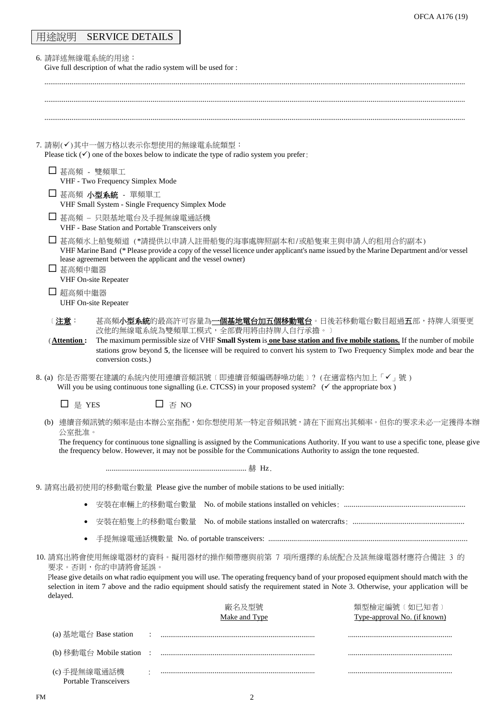| 用途說明 | <b>SERVICE DETAILS</b> |
|------|------------------------|
|------|------------------------|

6. 請詳述無線電系統的用途:

Give full description of what the radio system will be used for :

| 7. 請剔(√)其中一個方格以表示你想使用的無線電系統類型:<br>Please tick $(\checkmark)$ one of the boxes below to indicate the type of radio system you prefer:                                                                                                                                                                                                                                  |  |  |  |  |  |
|-----------------------------------------------------------------------------------------------------------------------------------------------------------------------------------------------------------------------------------------------------------------------------------------------------------------------------------------------------------------------|--|--|--|--|--|
| □ 甚高頻 - 雙頻單工<br>VHF - Two Frequency Simplex Mode                                                                                                                                                                                                                                                                                                                      |  |  |  |  |  |
| □ 甚高頻 小型系統 - 單頻單工<br>VHF Small System - Single Frequency Simplex Mode                                                                                                                                                                                                                                                                                                 |  |  |  |  |  |
| □ 甚高頻 – 只限基地電台及手提無線電通話機<br>VHF - Base Station and Portable Transceivers only                                                                                                                                                                                                                                                                                          |  |  |  |  |  |
| □ 甚高頻水上船隻頻道 (*請提供以申請人註冊船隻的海事處牌照副本和/或船隻東主與申請人的租用合約副本)<br>VHF Marine Band (* Please provide a copy of the vessel licence under applicant's name issued by the Marine Department and/or vessel<br>lease agreement between the applicant and the vessel owner)<br>□ 甚高頻中繼器<br>VHF On-site Repeater                                                                        |  |  |  |  |  |
| □ 超高頻中繼器<br><b>UHF On-site Repeater</b>                                                                                                                                                                                                                                                                                                                               |  |  |  |  |  |
| 甚高頻 <b>小型系統</b> 的最高許可容量為 <u>一<b>個基地電台加五個移動電台</b>。日後若移動電台數目超過<b>五</b>部,持牌人須要更</u><br>〔 <u>注意</u> :<br>改他的無線電系統為雙頻單工模式,全部費用將由持牌人自行承擔。)<br>The maximum permissible size of VHF Small System is one base station and five mobile stations. If the number of mobile<br>(Attention:                                                                                         |  |  |  |  |  |
| stations grow beyond 5, the licensee will be required to convert his system to Two Frequency Simplex mode and bear the<br>conversion costs.)                                                                                                                                                                                                                          |  |  |  |  |  |
| 8. (a) 你是否需要在建議的系統內使用連續音頻訊號〔即連續音頻編碼靜噪功能〕? (在適當格內加上「✔」號)<br>Will you be using continuous tone signalling (i.e. CTCSS) in your proposed system? ( $\checkmark$ the appropriate box)                                                                                                                                                                                     |  |  |  |  |  |
| □ 是 YES<br>$\square$ $\overline{\oplus}$ NO                                                                                                                                                                                                                                                                                                                           |  |  |  |  |  |
| (b) 連續音頻訊號的頻率是由本辦公室指配,如你想使用某一特定音頻訊號,請在下面寫出其頻率。但你的要求未必一定獲得本辦<br>公室批准。<br>The frequency for continuous tone signalling is assigned by the Communications Authority. If you want to use a specific tone, please give                                                                                                                                                     |  |  |  |  |  |
| the frequency below. However, it may not be possible for the Communications Authority to assign the tone requested.                                                                                                                                                                                                                                                   |  |  |  |  |  |
| …………………………………………………………… 赫 Hz                                                                                                                                                                                                                                                                                                                                          |  |  |  |  |  |
| 9. 請寫出最初使用的移動電台數量 Please give the number of mobile stations to be used initially:                                                                                                                                                                                                                                                                                     |  |  |  |  |  |
| $\bullet$                                                                                                                                                                                                                                                                                                                                                             |  |  |  |  |  |
|                                                                                                                                                                                                                                                                                                                                                                       |  |  |  |  |  |
|                                                                                                                                                                                                                                                                                                                                                                       |  |  |  |  |  |
| 10. 請寫出將會使用無線電器材的資料。擬用器材的操作頻帶應與前第 7 項所選擇的系統配合及該無線電器材應符合備註 3 的<br>要求。否則,你的申請將會延誤。<br>Please give details on what radio equipment you will use. The operating frequency band of your proposed equipment should match with the<br>selection in item 7 above and the radio equipment should satisfy the requirement stated in Note 3. Otherwise, your application will be |  |  |  |  |  |
| delayed.<br>廠名及型號<br>類型檢定編號 〔 如已知者 〕                                                                                                                                                                                                                                                                                                                                  |  |  |  |  |  |
| Make and Type<br>Type-approval No. (if known)                                                                                                                                                                                                                                                                                                                         |  |  |  |  |  |
| (a) 基地電台 Base station                                                                                                                                                                                                                                                                                                                                                 |  |  |  |  |  |
| (b) 移動電台 Mobile station<br>$\mathbb{R}^2$                                                                                                                                                                                                                                                                                                                             |  |  |  |  |  |
| (c) 手提無線電通話機<br><b>Portable Transceivers</b>                                                                                                                                                                                                                                                                                                                          |  |  |  |  |  |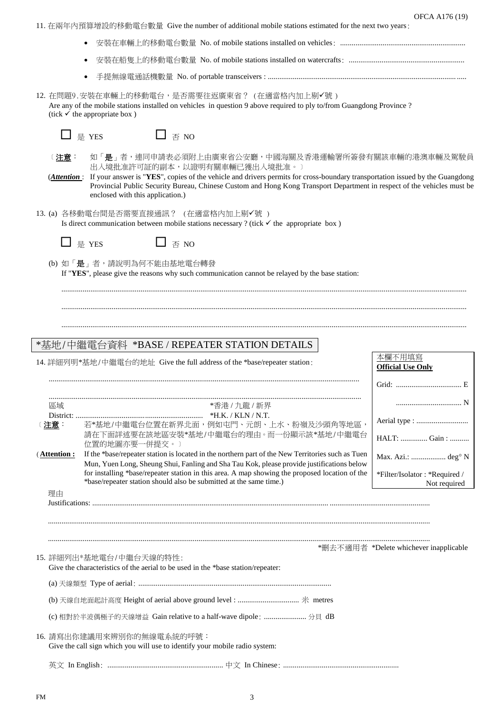OFCA A176 (19)

11. 在兩年內預算增設的移動電台數量 Give the number of additional mobile stations estimated for the next two years:

- 安裝在車輛上的移動電台數量 No. of mobile stations installed on vehicles: ................................................................. 安裝在船隻上的移動電台數量 No. of mobile stations installed on watercrafts: ............................................................
- 手提無線電通話機數量 No. of portable transceivers : .................................................................................................. .....

12. 在問題9.安裝在車輛上的移動電台,是否需要往返廣東省? (在適當格內加上剔√號) Are any of the mobile stations installed on vehicles in question 9 above required to ply to/from Guangdong Province ? (tick  $\checkmark$  the appropriate box )

|      |                                                                                                                                             | 是 YES                            | $\Box$ $\overline{\mathcal{A}}$ NO |                                                                                  |                                                                                                                                                                                                                                                                                                  |                                                                                                                                                                                                                                                                                                                        |  |
|------|---------------------------------------------------------------------------------------------------------------------------------------------|----------------------------------|------------------------------------|----------------------------------------------------------------------------------|--------------------------------------------------------------------------------------------------------------------------------------------------------------------------------------------------------------------------------------------------------------------------------------------------|------------------------------------------------------------------------------------------------------------------------------------------------------------------------------------------------------------------------------------------------------------------------------------------------------------------------|--|
|      | <u>:注意</u> :<br>( <i>Attention</i> :                                                                                                        | enclosed with this application.) |                                    | 出入境批准許可証的副本,以證明有關車輛已獲出入境批准。)                                                     |                                                                                                                                                                                                                                                                                                  | 如「 <b>是</b> 」者,連同申請表必須附上由廣東省公安廳,中國海關及香港運輸署所簽發有關該車輛的港澳車輛及駕駛員<br>If your answer is "YES", copies of the vehicle and drivers permits for cross-boundary transportation issued by the Guangdong<br>Provincial Public Security Bureau, Chinese Custom and Hong Kong Transport Department in respect of the vehicles must be |  |
|      | 13. (a) 各移動電台間是否需要直接通訊? (在適當格內加上剔√號)<br>Is direct communication between mobile stations necessary ? (tick $\checkmark$ the appropriate box) |                                  |                                    |                                                                                  |                                                                                                                                                                                                                                                                                                  |                                                                                                                                                                                                                                                                                                                        |  |
|      |                                                                                                                                             | □ 是 YES                          | 否 NO                               |                                                                                  |                                                                                                                                                                                                                                                                                                  |                                                                                                                                                                                                                                                                                                                        |  |
|      |                                                                                                                                             | (b) 如「是」者,請說明為何不能由基地電台轉發         |                                    |                                                                                  | If "YES", please give the reasons why such communication cannot be relayed by the base station:                                                                                                                                                                                                  |                                                                                                                                                                                                                                                                                                                        |  |
|      |                                                                                                                                             |                                  |                                    |                                                                                  |                                                                                                                                                                                                                                                                                                  |                                                                                                                                                                                                                                                                                                                        |  |
|      |                                                                                                                                             |                                  |                                    | *基地/中繼電台資料 *BASE/REPEATER STATION DETAILS                                        |                                                                                                                                                                                                                                                                                                  |                                                                                                                                                                                                                                                                                                                        |  |
|      |                                                                                                                                             |                                  |                                    | 14. 詳細列明*基地/中繼電台的地址 Give the full address of the *base/repeater station:         |                                                                                                                                                                                                                                                                                                  | 本欄不用填寫<br><b>Official Use Only</b>                                                                                                                                                                                                                                                                                     |  |
|      |                                                                                                                                             |                                  |                                    |                                                                                  |                                                                                                                                                                                                                                                                                                  |                                                                                                                                                                                                                                                                                                                        |  |
| 〔注意: | 區域                                                                                                                                          | 位置的地圖亦要一併提交。)                    |                                    | *香港 / 九龍 / 新界                                                                    | 若*基地/中繼電台位置在新界北面,例如屯門、元朗、上水、粉嶺及沙頭角等地區,<br>請在下面詳述要在該地區安裝*基地/中繼電台的理由。而一份顯示該*基地/中繼電台                                                                                                                                                                                                                | HALT:  Gain:                                                                                                                                                                                                                                                                                                           |  |
|      | (Attention:                                                                                                                                 |                                  |                                    | *base/repeater station should also be submitted at the same time.)               | If the *base/repeater station is located in the northern part of the New Territories such as Tuen<br>Mun, Yuen Long, Sheung Shui, Fanling and Sha Tau Kok, please provide justifications below<br>for installing *base/repeater station in this area. A map showing the proposed location of the | Max. Azi.:  deg <sup>o</sup> N<br>*Filter/Isolator: *Required /<br>Not required                                                                                                                                                                                                                                        |  |
|      | 理由                                                                                                                                          |                                  |                                    |                                                                                  |                                                                                                                                                                                                                                                                                                  |                                                                                                                                                                                                                                                                                                                        |  |
|      |                                                                                                                                             |                                  |                                    |                                                                                  |                                                                                                                                                                                                                                                                                                  |                                                                                                                                                                                                                                                                                                                        |  |
|      |                                                                                                                                             |                                  |                                    |                                                                                  |                                                                                                                                                                                                                                                                                                  | *刪去不適用者 *Delete whichever inapplicable                                                                                                                                                                                                                                                                                 |  |
|      |                                                                                                                                             | 15. 詳細列出*基地電台/中繼台天線的特性:          |                                    | Give the characteristics of the aerial to be used in the *base station/repeater: |                                                                                                                                                                                                                                                                                                  |                                                                                                                                                                                                                                                                                                                        |  |
|      |                                                                                                                                             |                                  |                                    |                                                                                  |                                                                                                                                                                                                                                                                                                  |                                                                                                                                                                                                                                                                                                                        |  |
|      |                                                                                                                                             |                                  |                                    |                                                                                  |                                                                                                                                                                                                                                                                                                  |                                                                                                                                                                                                                                                                                                                        |  |
|      |                                                                                                                                             |                                  |                                    | (c) 相對於半波偶極子的天線增益 Gain relative to a half-wave dipole:  分貝 dB                    |                                                                                                                                                                                                                                                                                                  |                                                                                                                                                                                                                                                                                                                        |  |
|      | 16. 請寫出你建議用來辨別你的無線電系統的呼號:<br>Give the call sign which you will use to identify your mobile radio system:                                    |                                  |                                    |                                                                                  |                                                                                                                                                                                                                                                                                                  |                                                                                                                                                                                                                                                                                                                        |  |
|      |                                                                                                                                             |                                  |                                    |                                                                                  |                                                                                                                                                                                                                                                                                                  |                                                                                                                                                                                                                                                                                                                        |  |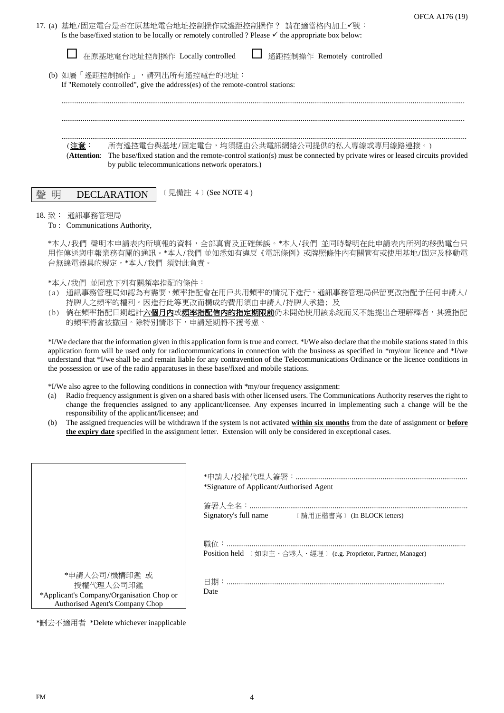| 17. ⑷ 基地/固定電台是否在原基地電台地址控制操作或遙距控制操作? 請在適當格內加上✔號:                                                                |  |
|----------------------------------------------------------------------------------------------------------------|--|
| Is the base/fixed station to be locally or remotely controlled? Please $\checkmark$ the appropriate box below: |  |

|        |  | □ 在原基地電台地址控制操作 Locally controlled                                                                                                                                                                                                      | □ 遙距控制操作 Remotely controlled |  |  |
|--------|--|----------------------------------------------------------------------------------------------------------------------------------------------------------------------------------------------------------------------------------------|------------------------------|--|--|
| (b)    |  | 如屬「遙距控制操作」,請列出所有遙控電台的地址:<br>If "Remotely controlled", give the address(es) of the remote-control stations:                                                                                                                             |                              |  |  |
|        |  |                                                                                                                                                                                                                                        |                              |  |  |
|        |  | 所有遙控電台與基地/固定電台,均須經由公共電訊網絡公司提供的私人專線或專用線路連接。)<br>(Attention: The base/fixed station and the remote-control station(s) must be connected by private wires or leased circuits provided<br>by public telecommunications network operators.) |                              |  |  |
| 磬<br>昍 |  | 〔 見備註 4〕(See NOTE 4 )                                                                                                                                                                                                                  |                              |  |  |

### 18. 致: 通訊事務管理局

To : Communications Authority,

\*本人/我們 聲明本申請表內所填報的資料,全部真實及正確無誤。\*本人/我們 並同時聲明在此申請表內所列的移動電台只 用作傳送與申報業務有關的通訊。\*本人/我們 並知悉如有違反《電訊條例》或牌照條件內有關管有或使用基地/固定及移動電 台無線電器具的規定,\*本人/我們 須對此負責。

- \*本人/我們 並同意下列有關頻率指配的條件:
- (a) 通訊事務管理局如認為有需要,頻率指配會在用戶共用頻率的情況下進行。通訊事務管理局保留更改指配予任何申請人/ 持牌人之頻率的權利。因進行此等更改而構成的費用須由申請人/持牌人承擔; 及
- (b) 倘在頻率指配日期起計<mark>六個月內或頻率指配信內的指定期限前</mark>仍未開始使用該系統而又不能提出合理解釋者,其獲指配 的頻率將會被撤回。除特別情形下,申請延期將不獲考慮。

\*I/We declare that the information given in this application form is true and correct. \*I/We also declare that the mobile stations stated in this application form will be used only for radiocommunications in connection with the business as specified in \*my/our licence and \*I/we understand that \*I/we shall be and remain liable for any contravention of the Telecommunications Ordinance or the licence conditions in the possession or use of the radio apparatuses in these base/fixed and mobile stations.

\*I/We also agree to the following conditions in connection with \*my/our frequency assignment:

- (a) Radio frequency assignment is given on a shared basis with other licensed users. The Communications Authority reserves the right to change the frequencies assigned to any applicant/licensee. Any expenses incurred in implementing such a change will be the responsibility of the applicant/licensee; and
- (b) The assigned frequencies will be withdrawn if the system is not activated **within six months** from the date of assignment or **before the expiry date** specified in the assignment letter. Extension will only be considered in exceptional cases.

|                                                                                                            | *Signature of Applicant/Authorised Agent                       |
|------------------------------------------------------------------------------------------------------------|----------------------------------------------------------------|
|                                                                                                            | Signatory's full name<br><br>$($ 請用正楷書寫 ) (In BLOCK letters)   |
|                                                                                                            | Position held 〔如東主、合夥人、經理〕 (e.g. Proprietor, Partner, Manager) |
| *申請人公司/機構印鑑 或<br>授權代理人公司印鑑<br>*Applicant's Company/Organisation Chop or<br>Authorised Agent's Company Chop | Date                                                           |
|                                                                                                            |                                                                |

\*刪去不適用者 \*Delete whichever inapplicable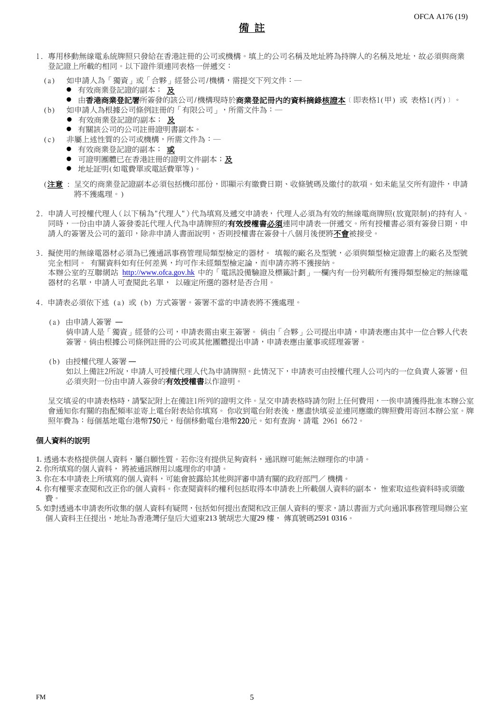## 備 註

- 1. 專用移動無線電系統牌照只發給在香港註冊的公司或機構。填上的公司名稱及地址將為持牌人的名稱及地址,故必須與商業 登記證上所載的相同。以下證件須連同表格一併遞交:
	- (a) 如申請人為「獨資」或「合夥」經營公司/機構,需提交下列文件:─
		- **有效商業登記證的副本; 及**
		- 由**香港商業登記署**所簽發的該公司/機構現時於**商業登記冊內的資料摘錄<u>核證本</u>〔即表格1(甲)** 或 表格1(丙)〕。
	- (b) 如申請人為根據公司條例註冊的「有限公司」,所需文件為:─
		- 有效商業登記證的副本; 及
		- 有關該公司的公司註冊證明書副本。
	- (c) 非屬上述性質的公司或機構,所需文件為:─
		- 有效商業登記證的副本; 或
		- 可證明團體已在香港註冊的證明文件副本;及
		- 地址証明(如電費單或電話費單等)。
	- (**注意** : 呈交的商業登記證副本必須包括機印部份,即顯示有繳費日期、收條號碼及繳付的款項。如未能呈交所有證件,申請 將不獲處理。)
- 2. 申請人可授權代理人(以下稱為"代理人")代為填寫及遞交申請表, 代理人必須為有效的無線電商牌照(放寬限制)的持有人。 同時,一份由申請人簽發委託代理人代為申請牌照的**有效授權書必須**連同申請表一併遞交。所有授權書必須有簽發日期,申 請人的簽署及公司的蓋印,除非申請人書面說明,否則授權書在簽發十八個月後便將不會被接受。
- 3. 擬使用的無線電器材必須為已獲通訊事務管理局類型檢定的器材。 填報的廠名及型號, 必須與類型檢定證書上的廠名及型號 完全相同。 有關資料如有任何差異,均可作未經類型檢定論,而申請亦將不獲接納。 本辦公室的互聯網站 [http://www.ofca.gov.hk](http://www.ofca.gov.hk/) 中的「電訊設備驗證及標籤計劃」一欄內有一份列載所有獲得類型檢定的無線電 器材的名單,申請人可查閱此名單, 以確定所選的器材是否合用。
- 4. 申請表必須依下述 (a) 或 (b) 方式簽署。簽署不當的申請表將不獲處理。
	- (a) 由申請人簽署 ― 倘申請人是「獨資」經營的公司,申請表需由東主簽署。 倘由「合夥」公司提出申請,申請表應由其中一位合夥人代表 簽署。倘由根據公司條例註冊的公司或其他團體提出申請,申請表應由董事或經理簽署。
	- (b) 由授權代理人簽署 ― 如以上備註2所說,申請人可授權代理人代為申請牌照。此情況下,申請表可由授權代理人公司內的一位負責人簽署,但 必須夾附一份由申請人簽發的**有效授權書**以作證明。

呈交填妥的申請表格時,請緊記附上在備註1所列的證明文件。呈交申請表格時請勿附上任何費用,一俟申請獲得批准本辦公室 會通知你有關的指配頻率並寄上電台附表給你填寫。 你收到電台附表後,應盡快填妥並連同應繳的牌照費用寄回本辦公室。牌 照年費為:每個基地電台港幣750元,每個移動電台港幣220元。如有查詢,請電 2961 6672。

### 個人資料的說明

- 1. 透過本表格提供個人資料,屬自願性質。若你沒有提供足夠資料,通訊辦可能無法辦理你的申請。
- 2. 你所填寫的個人資料, 將被通訊辦用以處理你的申請。
- 3. 你在本申請表上所填寫的個人資料,可能會披露給其他與評審申請有關的政府部門/ 機構。
- 4. 你有權要求查閱和改正你的個人資料。你查閱資料的權利包括取得本申請表上所載個人資料的副本, 惟索取這些資料時或須繳 費。
- 5. 如對透過本申請表所收集的個人資料有疑問,包括如何提出查閱和改正個人資料的要求,請以書面方式向通訊事務管理局辦公室 個人資料主任提出,地址為香港灣仔皇后大道東213 號胡忠大廈29 樓, 傳真號碼2591 0316。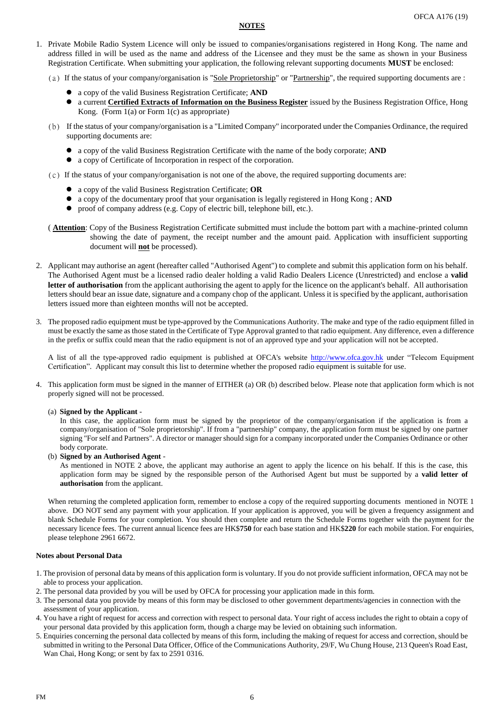#### **NOTES**

- 1. Private Mobile Radio System Licence will only be issued to companies/organisations registered in Hong Kong. The name and address filled in will be used as the name and address of the Licensee and they must be the same as shown in your Business Registration Certificate. When submitting your application, the following relevant supporting documents **MUST** be enclosed:
	- (a) If the status of your company/organisation is "Sole Proprietorship" or "Partnership", the required supporting documents are :
		- a copy of the valid Business Registration Certificate; **AND**
		- a current **Certified Extracts of Information on the Business Register** issued by the Business Registration Office, Hong Kong. (Form 1(a) or Form 1(c) as appropriate)
	- (b) If the status of your company/organisation is a "Limited Company" incorporated under the Companies Ordinance, the required supporting documents are:
		- a copy of the valid Business Registration Certificate with the name of the body corporate; **AND**
		- a copy of Certificate of Incorporation in respect of the corporation.
	- (c) If the status of your company/organisation is not one of the above, the required supporting documents are:
		- a copy of the valid Business Registration Certificate; **OR**
		- a copy of the documentary proof that your organisation is legally registered in Hong Kong ; **AND**
		- proof of company address (e.g. Copy of electric bill, telephone bill, etc.).
	- ( **Attention**: Copy of the Business Registration Certificate submitted must include the bottom part with a machine-printed column showing the date of payment, the receipt number and the amount paid. Application with insufficient supporting document will **not** be processed).
- 2. Applicant may authorise an agent (hereafter called "Authorised Agent") to complete and submit this application form on his behalf. The Authorised Agent must be a licensed radio dealer holding a valid Radio Dealers Licence (Unrestricted) and enclose a **valid letter of authorisation** from the applicant authorising the agent to apply for the licence on the applicant's behalf. All authorisation letters should bear an issue date, signature and a company chop of the applicant. Unless it is specified by the applicant, authorisation letters issued more than eighteen months will not be accepted.
- 3. The proposed radio equipment must be type-approved by the Communications Authority. The make and type of the radio equipment filled in must be exactly the same as those stated in the Certificate of Type Approval granted to that radio equipment. Any difference, even a difference in the prefix or suffix could mean that the radio equipment is not of an approved type and your application will not be accepted.

A list of all the type-approved radio equipment is published at OFCA's website [http://www.ofca.gov.hk](http://www.ofca.gov.hk/) under "Telecom Equipment Certification". Applicant may consult this list to determine whether the proposed radio equipment is suitable for use.

4. This application form must be signed in the manner of EITHER (a) OR (b) described below. Please note that application form which is not properly signed will not be processed.

### (a) **Signed by the Applicant** -

In this case, the application form must be signed by the proprietor of the company/organisation if the application is from a company/organisation of "Sole proprietorship". If from a "partnership" company, the application form must be signed by one partner signing "For self and Partners". A director or manager should sign for a company incorporated under the Companies Ordinance or other body corporate.

(b) **Signed by an Authorised Agent** -

As mentioned in NOTE 2 above, the applicant may authorise an agent to apply the licence on his behalf. If this is the case, this application form may be signed by the responsible person of the Authorised Agent but must be supported by a **valid letter of authorisation** from the applicant.

When returning the completed application form, remember to enclose a copy of the required supporting documents mentioned in NOTE 1 above. DO NOT send any payment with your application. If your application is approved, you will be given a frequency assignment and blank Schedule Forms for your completion. You should then complete and return the Schedule Forms together with the payment for the necessary licence fees. The current annual licence fees are HK\$**750** for each base station and HK\$**220** for each mobile station. For enquiries, please telephone 2961 6672.

### **Notes about Personal Data**

- 1. The provision of personal data by means of this application form is voluntary. If you do not provide sufficient information, OFCA may not be able to process your application.
- 2. The personal data provided by you will be used by OFCA for processing your application made in this form.
- 3. The personal data you provide by means of this form may be disclosed to other government departments/agencies in connection with the assessment of your application.
- 4. You have a right of request for access and correction with respect to personal data. Your right of access includes the right to obtain a copy of your personal data provided by this application form, though a charge may be levied on obtaining such information.
- 5. Enquiries concerning the personal data collected by means of this form, including the making of request for access and correction, should be submitted in writing to the Personal Data Officer, Office of the Communications Authority, 29/F, Wu Chung House, 213 Queen's Road East, Wan Chai, Hong Kong; or sent by fax to 2591 0316.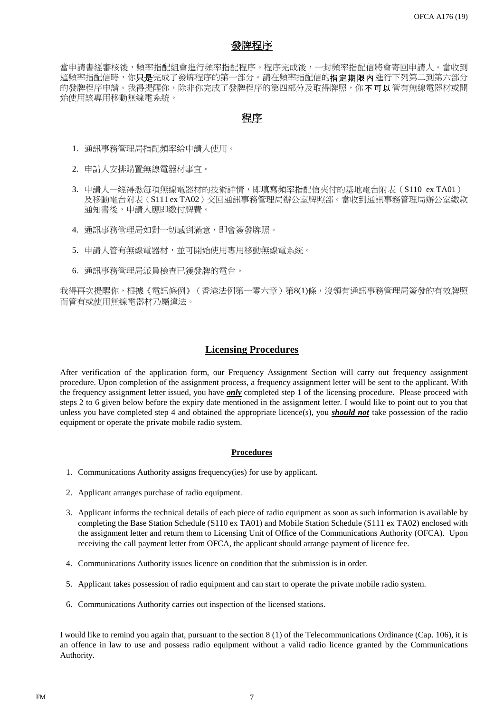# <u>發牌程序</u>

當申請書經審核後,頻率指配組會進行頻率指配程序。程序完成後,一封頻率指配信將會寄回申請人。當收到 這頻率指配信時,你只是完成了發牌程序的第一部分。請在頻率指配信的指定期限內進行下列第二到第六部分 的發牌程序申請。我得提醒你,除非你完成了發牌程序的第四部分及取得牌照,你不可以管有無線電器材或開 始使用該專用移動無線電系統。

# 程序

- 1. 通訊事務管理局指配頻率給申請人使用。
- 2. 申請人安排購置無線電器材事宜。
- 3. 申請人一經得悉每項無線電器材的技術詳情,即填寫頻率指配信夾付的基地電台附表(S110 ex TA01) 及移動電台附表(S111 ex TA02)交回通訊事務管理局辦公室牌照部。當收到通訊事務管理局辦公室繳款 通知書後,申請人應即繳付牌費。
- 4. 通訊事務管理局如對一切感到滿意,即會簽發牌照。
- 5. 申請人管有無線電器材,並可開始使用專用移動無線電系統。
- 6. 通訊事務管理局派員檢查已獲發牌的電台。

我得再次提醒你,根據《電訊條例》(香港法例第一零六章)第8(1)條,沒領有通訊事務管理局簽發的有效牌照 而管有或使用無線電器材乃屬違法。

## **Licensing Procedures**

After verification of the application form, our Frequency Assignment Section will carry out frequency assignment procedure. Upon completion of the assignment process, a frequency assignment letter will be sent to the applicant. With the frequency assignment letter issued, you have *only* completed step 1 of the licensing procedure. Please proceed with steps 2 to 6 given below before the expiry date mentioned in the assignment letter. I would like to point out to you that unless you have completed step 4 and obtained the appropriate licence(s), you *should not* take possession of the radio equipment or operate the private mobile radio system.

### **Procedures**

- 1. Communications Authority assigns frequency(ies) for use by applicant.
- 2. Applicant arranges purchase of radio equipment.
- 3. Applicant informs the technical details of each piece of radio equipment as soon as such information is available by completing the Base Station Schedule (S110 ex TA01) and Mobile Station Schedule (S111 ex TA02) enclosed with the assignment letter and return them to Licensing Unit of Office of the Communications Authority (OFCA). Upon receiving the call payment letter from OFCA, the applicant should arrange payment of licence fee.
- 4. Communications Authority issues licence on condition that the submission is in order.
- 5. Applicant takes possession of radio equipment and can start to operate the private mobile radio system.
- 6. Communications Authority carries out inspection of the licensed stations.

I would like to remind you again that, pursuant to the section 8 (1) of the Telecommunications Ordinance (Cap. 106), it is an offence in law to use and possess radio equipment without a valid radio licence granted by the Communications Authority.